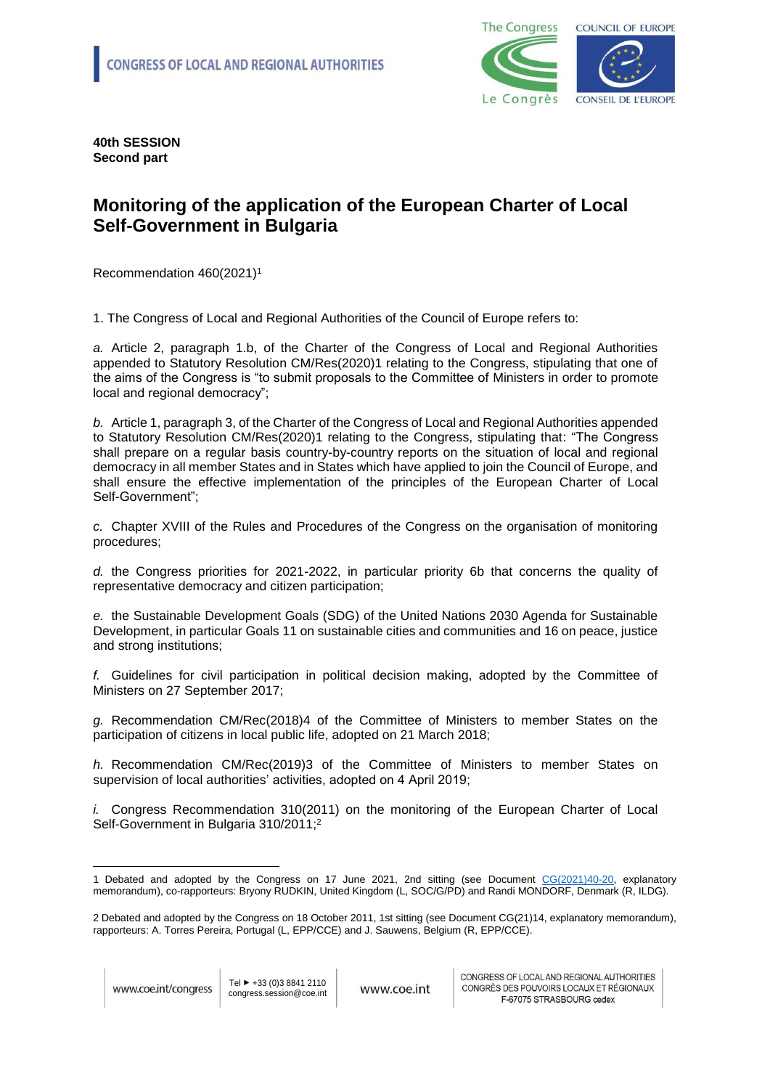

**40th SESSION Second part**

## **Monitoring of the application of the European Charter of Local Self-Government in Bulgaria**

Recommendation 460(2021)<sup>1</sup>

1. The Congress of Local and Regional Authorities of the Council of Europe refers to:

*a.* Article 2, paragraph 1.b, of the Charter of the Congress of Local and Regional Authorities appended to Statutory Resolution CM/Res(2020)1 relating to the Congress, stipulating that one of the aims of the Congress is "to submit proposals to the Committee of Ministers in order to promote local and regional democracy";

*b.* Article 1, paragraph 3, of the Charter of the Congress of Local and Regional Authorities appended to Statutory Resolution CM/Res(2020)1 relating to the Congress, stipulating that: "The Congress shall prepare on a regular basis country-by-country reports on the situation of local and regional democracy in all member States and in States which have applied to join the Council of Europe, and shall ensure the effective implementation of the principles of the European Charter of Local Self-Government";

*c.* Chapter XVIII of the Rules and Procedures of the Congress on the organisation of monitoring procedures;

*d.* the Congress priorities for 2021-2022, in particular priority 6b that concerns the quality of representative democracy and citizen participation;

*e.* the Sustainable Development Goals (SDG) of the United Nations 2030 Agenda for Sustainable Development, in particular Goals 11 on sustainable cities and communities and 16 on peace, justice and strong institutions;

*f.* Guidelines for civil participation in political decision making, adopted by the Committee of Ministers on 27 September 2017;

*g.* Recommendation CM/Rec(2018)4 of the Committee of Ministers to member States on the participation of citizens in local public life, adopted on 21 March 2018;

*h.* Recommendation CM/Rec(2019)3 of the Committee of Ministers to member States on supervision of local authorities' activities, adopted on 4 April 2019;

*i.* Congress Recommendation 310(2011) on the monitoring of the European Charter of Local Self-Government in Bulgaria 310/2011; 2

<u>.</u>

<sup>1</sup> Debated and adopted by the Congress on 17 June 2021, 2nd sitting (see Document [CG\(2021\)40-20,](https://rm.coe.int/monitoring-of-the-application-of-the-european-charter-of-local-self-go/1680a28bb8) explanatory memorandum), co-rapporteurs: Bryony RUDKIN, United Kingdom (L, SOC/G/PD) and Randi MONDORF, Denmark (R, ILDG).

<sup>2</sup> Debated and adopted by the Congress on 18 October 2011, 1st sitting (see Document CG(21)14, explanatory memorandum), rapporteurs: A. Torres Pereira, Portugal (L, EPP/CCE) and J. Sauwens, Belgium (R, EPP/CCE).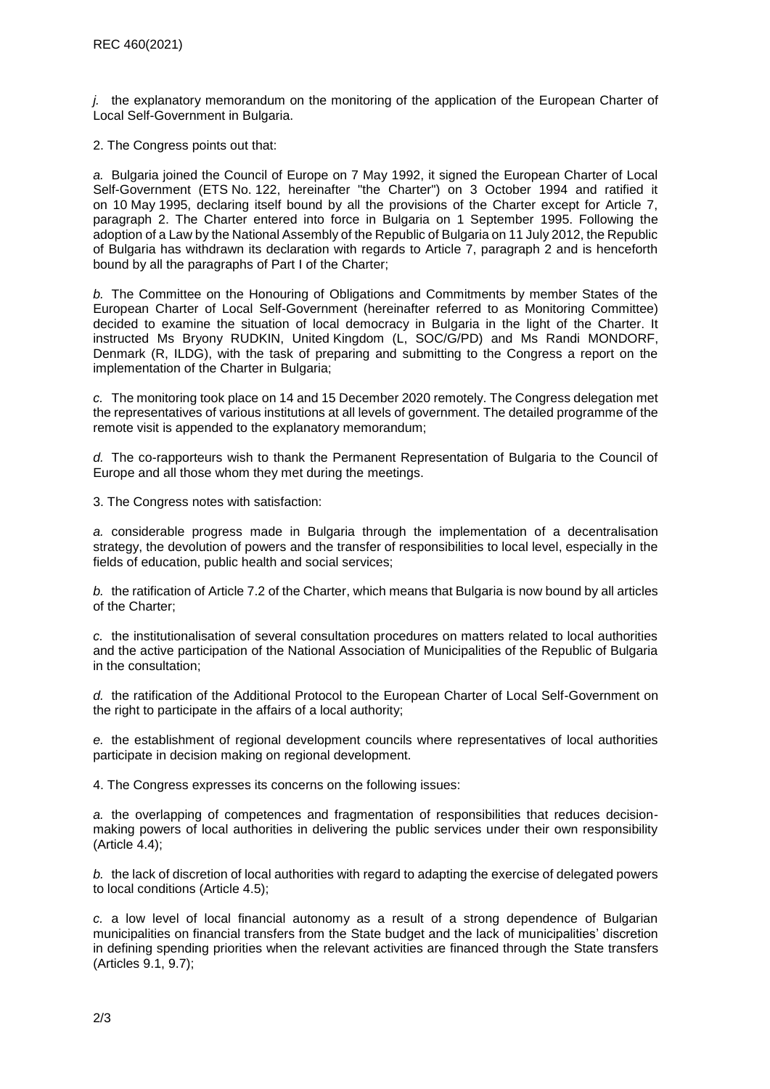*j.* the explanatory memorandum on the monitoring of the application of the European Charter of Local Self-Government in Bulgaria.

2. The Congress points out that:

*a.* Bulgaria joined the Council of Europe on 7 May 1992, it signed the European Charter of Local Self-Government (ETS No. 122, hereinafter "the Charter") on 3 October 1994 and ratified it on 10 May 1995, declaring itself bound by all the provisions of the Charter except for Article 7, paragraph 2. The Charter entered into force in Bulgaria on 1 September 1995. Following the adoption of a Law by the National Assembly of the Republic of Bulgaria on 11 July 2012, the Republic of Bulgaria has withdrawn its declaration with regards to Article 7, paragraph 2 and is henceforth bound by all the paragraphs of Part I of the Charter;

*b.* The Committee on the Honouring of Obligations and Commitments by member States of the European Charter of Local Self-Government (hereinafter referred to as Monitoring Committee) decided to examine the situation of local democracy in Bulgaria in the light of the Charter. It instructed Ms Bryony RUDKIN, United Kingdom (L, SOC/G/PD) and Ms Randi MONDORF, Denmark (R, ILDG), with the task of preparing and submitting to the Congress a report on the implementation of the Charter in Bulgaria;

*c.* The monitoring took place on 14 and 15 December 2020 remotely. The Congress delegation met the representatives of various institutions at all levels of government. The detailed programme of the remote visit is appended to the explanatory memorandum;

*d.* The co-rapporteurs wish to thank the Permanent Representation of Bulgaria to the Council of Europe and all those whom they met during the meetings.

3. The Congress notes with satisfaction:

*a.* considerable progress made in Bulgaria through the implementation of a decentralisation strategy, the devolution of powers and the transfer of responsibilities to local level, especially in the fields of education, public health and social services;

*b.* the ratification of Article 7.2 of the Charter, which means that Bulgaria is now bound by all articles of the Charter;

*c.* the institutionalisation of several consultation procedures on matters related to local authorities and the active participation of the National Association of Municipalities of the Republic of Bulgaria in the consultation;

*d.* the ratification of the Additional Protocol to the European Charter of Local Self-Government on the right to participate in the affairs of a local authority;

*e.* the establishment of regional development councils where representatives of local authorities participate in decision making on regional development.

4. The Congress expresses its concerns on the following issues:

*a.* the overlapping of competences and fragmentation of responsibilities that reduces decisionmaking powers of local authorities in delivering the public services under their own responsibility  $(A<sub>r</sub>$ ticle 4.4);

*b.* the lack of discretion of local authorities with regard to adapting the exercise of delegated powers to local conditions (Article 4.5);

*c.* a low level of local financial autonomy as a result of a strong dependence of Bulgarian municipalities on financial transfers from the State budget and the lack of municipalities' discretion in defining spending priorities when the relevant activities are financed through the State transfers (Articles 9.1, 9.7);